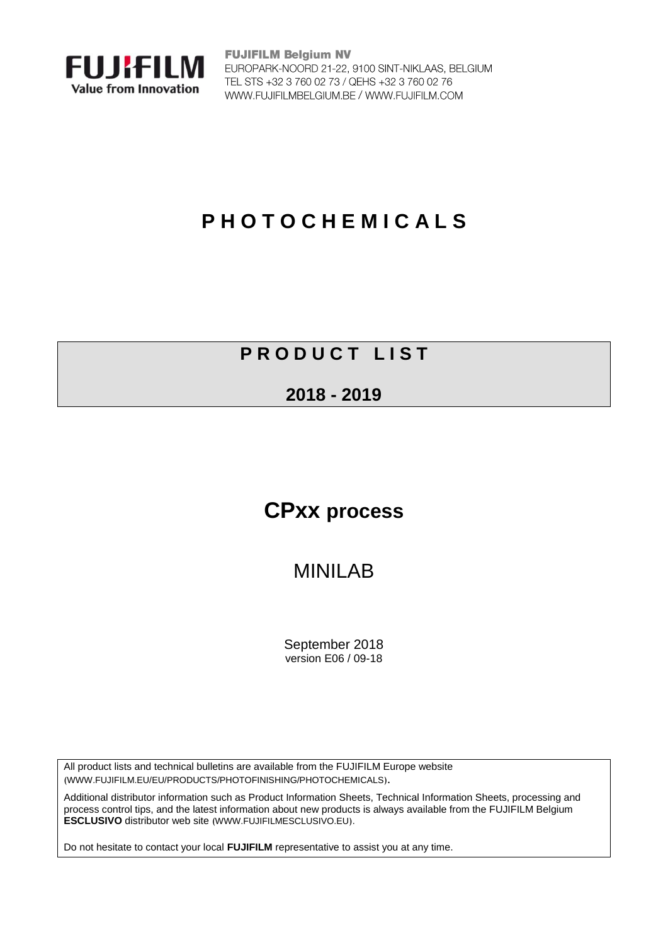

**FUJIFILM Belgium NV** EUROPARK-NOORD 21-22, 9100 SINT-NIKLAAS, BELGIUM TEL STS +32 3 760 02 73 / QEHS +32 3 760 02 76 WWW.FUJIFILMBELGIUM.BE / WWW.FUJIFILM.COM

# **P H O T O C H E M I C A L S**

### **P R O D U C T L I S T**

#### **2018 - 2019**

# **CPxx process**

## MINILAB

September 2018 version E06 / 09-18

All product lists and technical bulletins are available from the FUJIFILM Europe website ([WWW.FUJIFILM.EU/EU/PRODUCTS/PHOTOFINISHING/PHOTOCHEMICALS](https://www.fujifilm.eu/eu/products/photofinishing/photochemicals)).

Additional distributor information such as Product Information Sheets, Technical Information Sheets, processing and process control tips, and the latest information about new products is always available from the FUJIFILM Belgium **[ESCLUSIVO](http://www.fujifilmesclusivo.eu/)** distributor web site ([WWW.FUJIFILMESCLUSIVO.EU](http://www.fujifilmesclusivo.eu/)).

Do not hesitate to contact your local **FUJIFILM** representative to assist you at any time.